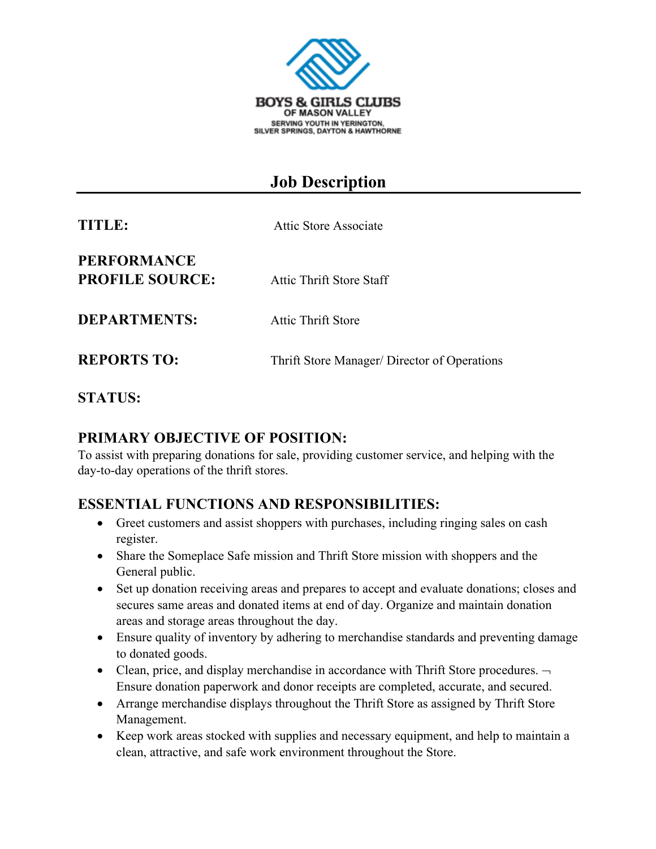

# **Job Description**

| TITLE:                                       | Attic Store Associate                        |
|----------------------------------------------|----------------------------------------------|
| <b>PERFORMANCE</b><br><b>PROFILE SOURCE:</b> | Attic Thrift Store Staff                     |
| <b>DEPARTMENTS:</b>                          | <b>Attic Thrift Store</b>                    |
| <b>REPORTS TO:</b>                           | Thrift Store Manager/ Director of Operations |

**STATUS:**

#### **PRIMARY OBJECTIVE OF POSITION:**

To assist with preparing donations for sale, providing customer service, and helping with the day-to-day operations of the thrift stores.

#### **ESSENTIAL FUNCTIONS AND RESPONSIBILITIES:**

- Greet customers and assist shoppers with purchases, including ringing sales on cash register.
- Share the Someplace Safe mission and Thrift Store mission with shoppers and the General public.
- Set up donation receiving areas and prepares to accept and evaluate donations; closes and secures same areas and donated items at end of day. Organize and maintain donation areas and storage areas throughout the day.
- Ensure quality of inventory by adhering to merchandise standards and preventing damage to donated goods.
- Clean, price, and display merchandise in accordance with Thrift Store procedures.  $\neg$ Ensure donation paperwork and donor receipts are completed, accurate, and secured.
- Arrange merchandise displays throughout the Thrift Store as assigned by Thrift Store Management.
- Keep work areas stocked with supplies and necessary equipment, and help to maintain a clean, attractive, and safe work environment throughout the Store.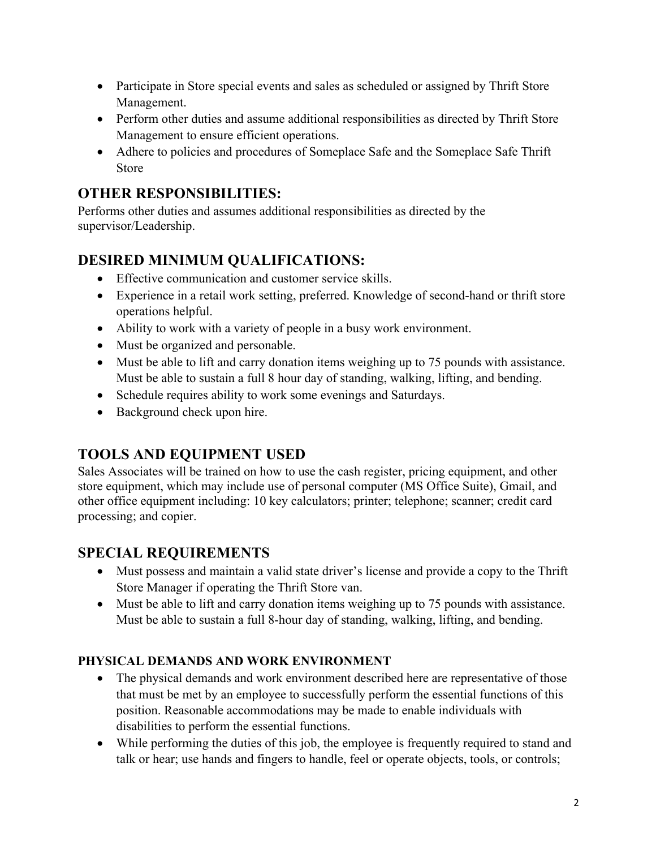- Participate in Store special events and sales as scheduled or assigned by Thrift Store Management.
- Perform other duties and assume additional responsibilities as directed by Thrift Store Management to ensure efficient operations.
- Adhere to policies and procedures of Someplace Safe and the Someplace Safe Thrift Store

### **OTHER RESPONSIBILITIES:**

Performs other duties and assumes additional responsibilities as directed by the supervisor/Leadership.

# **DESIRED MINIMUM QUALIFICATIONS:**

- Effective communication and customer service skills.
- Experience in a retail work setting, preferred. Knowledge of second-hand or thrift store operations helpful.
- Ability to work with a variety of people in a busy work environment.
- Must be organized and personable.
- Must be able to lift and carry donation items weighing up to 75 pounds with assistance. Must be able to sustain a full 8 hour day of standing, walking, lifting, and bending.
- Schedule requires ability to work some evenings and Saturdays.
- Background check upon hire.

#### **TOOLS AND EQUIPMENT USED**

Sales Associates will be trained on how to use the cash register, pricing equipment, and other store equipment, which may include use of personal computer (MS Office Suite), Gmail, and other office equipment including: 10 key calculators; printer; telephone; scanner; credit card processing; and copier.

# **SPECIAL REQUIREMENTS**

- Must possess and maintain a valid state driver's license and provide a copy to the Thrift Store Manager if operating the Thrift Store van.
- Must be able to lift and carry donation items weighing up to 75 pounds with assistance. Must be able to sustain a full 8-hour day of standing, walking, lifting, and bending.

#### **PHYSICAL DEMANDS AND WORK ENVIRONMENT**

- The physical demands and work environment described here are representative of those that must be met by an employee to successfully perform the essential functions of this position. Reasonable accommodations may be made to enable individuals with disabilities to perform the essential functions.
- While performing the duties of this job, the employee is frequently required to stand and talk or hear; use hands and fingers to handle, feel or operate objects, tools, or controls;